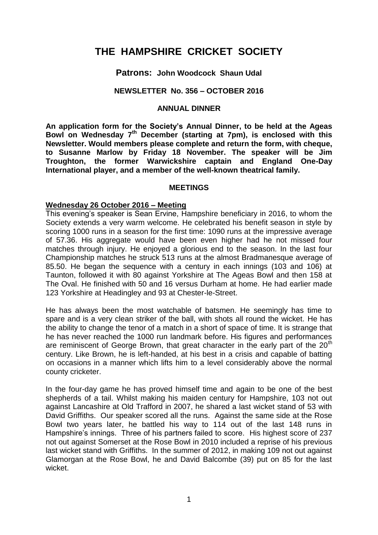# **THE HAMPSHIRE CRICKET SOCIETY**

## **Patrons: John Woodcock Shaun Udal**

## **NEWSLETTER No. 356 – OCTOBER 2016**

## **ANNUAL DINNER**

**An application form for the Society's Annual Dinner, to be held at the Ageas Bowl on Wednesday 7 th December (starting at 7pm), is enclosed with this Newsletter. Would members please complete and return the form, with cheque, to Susanne Marlow by Friday 18 November. The speaker will be Jim Troughton, the former Warwickshire captain and England One-Day International player, and a member of the well-known theatrical family.** 

#### **MEETINGS**

#### **Wednesday 26 October 2016 – Meeting**

This evening's speaker is Sean Ervine, Hampshire beneficiary in 2016, to whom the Society extends a very warm welcome. He celebrated his benefit season in style by scoring 1000 runs in a season for the first time: 1090 runs at the impressive average of 57.36. His aggregate would have been even higher had he not missed four matches through injury. He enjoyed a glorious end to the season. In the last four Championship matches he struck 513 runs at the almost Bradmanesque average of 85.50. He began the sequence with a century in each innings (103 and 106) at Taunton, followed it with 80 against Yorkshire at The Ageas Bowl and then 158 at The Oval. He finished with 50 and 16 versus Durham at home. He had earlier made 123 Yorkshire at Headingley and 93 at Chester-le-Street.

He has always been the most watchable of batsmen. He seemingly has time to spare and is a very clean striker of the ball, with shots all round the wicket. He has the ability to change the tenor of a match in a short of space of time. It is strange that he has never reached the 1000 run landmark before. His figures and performances are reminiscent of George Brown, that great character in the early part of the  $20<sup>th</sup>$ century. Like Brown, he is left-handed, at his best in a crisis and capable of batting on occasions in a manner which lifts him to a level considerably above the normal county cricketer.

In the four-day game he has proved himself time and again to be one of the best shepherds of a tail. Whilst making his maiden century for Hampshire, 103 not out against Lancashire at Old Trafford in 2007, he shared a last wicket stand of 53 with David Griffiths. Our speaker scored all the runs. Against the same side at the Rose Bowl two years later, he battled his way to 114 out of the last 148 runs in Hampshire's innings. Three of his partners failed to score. His highest score of 237 not out against Somerset at the Rose Bowl in 2010 included a reprise of his previous last wicket stand with Griffiths. In the summer of 2012, in making 109 not out against Glamorgan at the Rose Bowl, he and David Balcombe (39) put on 85 for the last wicket.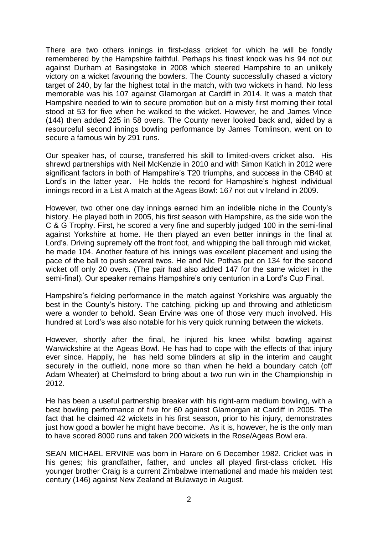There are two others innings in first-class cricket for which he will be fondly remembered by the Hampshire faithful. Perhaps his finest knock was his 94 not out against Durham at Basingstoke in 2008 which steered Hampshire to an unlikely victory on a wicket favouring the bowlers. The County successfully chased a victory target of 240, by far the highest total in the match, with two wickets in hand. No less memorable was his 107 against Glamorgan at Cardiff in 2014. It was a match that Hampshire needed to win to secure promotion but on a misty first morning their total stood at 53 for five when he walked to the wicket. However, he and James Vince (144) then added 225 in 58 overs. The County never looked back and, aided by a resourceful second innings bowling performance by James Tomlinson, went on to secure a famous win by 291 runs.

Our speaker has, of course, transferred his skill to limited-overs cricket also. His shrewd partnerships with Neil McKenzie in 2010 and with Simon Katich in 2012 were significant factors in both of Hampshire's T20 triumphs, and success in the CB40 at Lord's in the latter year. He holds the record for Hampshire's highest individual innings record in a List A match at the Ageas Bowl: 167 not out v Ireland in 2009.

However, two other one day innings earned him an indelible niche in the County's history. He played both in 2005, his first season with Hampshire, as the side won the C & G Trophy. First, he scored a very fine and superbly judged 100 in the semi-final against Yorkshire at home. He then played an even better innings in the final at Lord's. Driving supremely off the front foot, and whipping the ball through mid wicket, he made 104. Another feature of his innings was excellent placement and using the pace of the ball to push several twos. He and Nic Pothas put on 134 for the second wicket off only 20 overs. (The pair had also added 147 for the same wicket in the semi-final). Our speaker remains Hampshire's only centurion in a Lord's Cup Final.

Hampshire's fielding performance in the match against Yorkshire was arguably the best in the County's history. The catching, picking up and throwing and athleticism were a wonder to behold. Sean Ervine was one of those very much involved. His hundred at Lord's was also notable for his very quick running between the wickets.

However, shortly after the final, he injured his knee whilst bowling against Warwickshire at the Ageas Bowl. He has had to cope with the effects of that injury ever since. Happily, he has held some blinders at slip in the interim and caught securely in the outfield, none more so than when he held a boundary catch (off Adam Wheater) at Chelmsford to bring about a two run win in the Championship in 2012.

He has been a useful partnership breaker with his right-arm medium bowling, with a best bowling performance of five for 60 against Glamorgan at Cardiff in 2005. The fact that he claimed 42 wickets in his first season, prior to his injury, demonstrates just how good a bowler he might have become. As it is, however, he is the only man to have scored 8000 runs and taken 200 wickets in the Rose/Ageas Bowl era.

SEAN MICHAEL ERVINE was born in Harare on 6 December 1982. Cricket was in his genes; his grandfather, father, and uncles all played first-class cricket. His younger brother Craig is a current Zimbabwe international and made his maiden test century (146) against New Zealand at Bulawayo in August.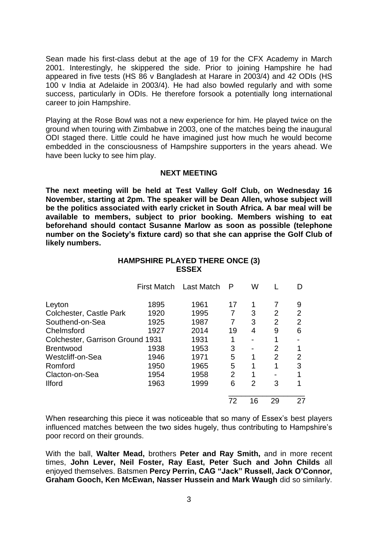Sean made his first-class debut at the age of 19 for the CFX Academy in March 2001. Interestingly, he skippered the side. Prior to joining Hampshire he had appeared in five tests (HS 86 v Bangladesh at Harare in 2003/4) and 42 ODIs (HS 100 v India at Adelaide in 2003/4). He had also bowled regularly and with some success, particularly in ODIs. He therefore forsook a potentially long international career to join Hampshire.

Playing at the Rose Bowl was not a new experience for him. He played twice on the ground when touring with Zimbabwe in 2003, one of the matches being the inaugural ODI staged there. Little could he have imagined just how much he would become embedded in the consciousness of Hampshire supporters in the years ahead. We have been lucky to see him play.

### **NEXT MEETING**

**The next meeting will be held at Test Valley Golf Club, on Wednesday 16 November, starting at 2pm. The speaker will be Dean Allen, whose subject will be the politics associated with early cricket in South Africa. A bar meal will be available to members, subject to prior booking. Members wishing to eat beforehand should contact Susanne Marlow as soon as possible (telephone number on the Society's fixture card) so that she can apprise the Golf Club of likely numbers.** 

| <b>HAMPSHIRE PLAYED THERE ONCE (3)</b> |  |  |  |  |  |  |
|----------------------------------------|--|--|--|--|--|--|
| <b>ESSEX</b>                           |  |  |  |  |  |  |
|                                        |  |  |  |  |  |  |

|                                          |      | First Match Last Match | P  | W  |                |    |
|------------------------------------------|------|------------------------|----|----|----------------|----|
| Leyton                                   | 1895 | 1961                   | 17 | 1  |                | 9  |
| Colchester, Castle Park                  | 1920 | 1995                   |    | 3  | 2              | 2  |
| Southend-on-Sea                          | 1925 | 1987                   |    | 3  | 2              | 2  |
| Chelmsford                               | 1927 | 2014                   | 19 | 4  | 9              | 6  |
| Colchester, Garrison Ground 1931<br>1931 |      |                        |    |    |                |    |
| <b>Brentwood</b>                         | 1938 | 1953                   | 3  |    | $\overline{2}$ |    |
| Westcliff-on-Sea                         | 1946 | 1971                   | 5  | 1  | $\overline{2}$ | 2  |
| Romford                                  | 1950 | 1965                   | 5  |    | 1              | 3  |
| Clacton-on-Sea                           | 1954 | 1958                   | 2  |    |                |    |
| <b>Ilford</b>                            | 1963 | 1999                   | 6  | 2  | 3              |    |
|                                          |      |                        | 72 | 16 | 29             | 27 |

When researching this piece it was noticeable that so many of Essex's best players influenced matches between the two sides hugely, thus contributing to Hampshire's poor record on their grounds.

With the ball, **Walter Mead,** brothers **Peter and Ray Smith,** and in more recent times, **John Lever, Neil Foster, Ray East, Peter Such and John Childs** all enjoyed themselves. Batsmen **Percy Perrin, CAG "Jack" Russell, Jack O'Connor, Graham Gooch, Ken McEwan, Nasser Hussein and Mark Waugh** did so similarly.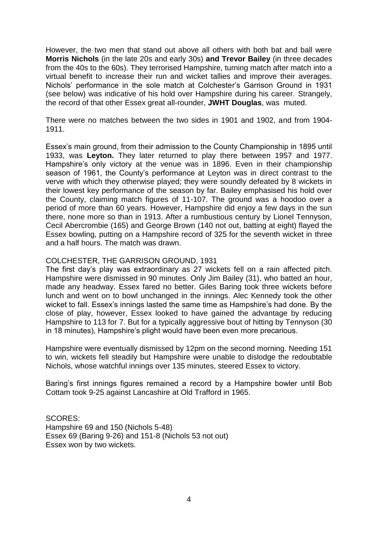However, the two men that stand out above all others with both bat and ball were **Morris Nichols** (in the late 20s and early 30s) **and Trevor Bailey** (in three decades from the 40s to the 60s). They terrorised Hampshire, turning match after match into a virtual benefit to increase their run and wicket tallies and improve their averages. Nichols' performance in the sole match at Colchester's Garrison Ground in 1931 (see below) was indicative of his hold over Hampshire during his career. Strangely, the record of that other Essex great all-rounder, **JWHT Douglas**, was muted.

There were no matches between the two sides in 1901 and 1902, and from 1904- 1911.

Essex's main ground, from their admission to the County Championship in 1895 until 1933, was **Leyton.** They later returned to play there between 1957 and 1977. Hampshire's only victory at the venue was in 1896. Even in their championship season of 1961, the County's performance at Leyton was in direct contrast to the verve with which they otherwise played; they were soundly defeated by 8 wickets in their lowest key performance of the season by far. Bailey emphasised his hold over the County, claiming match figures of 11-107. The ground was a hoodoo over a period of more than 60 years. However, Hampshire did enjoy a few days in the sun there, none more so than in 1913. After a rumbustious century by Lionel Tennyson, Cecil Abercrombie (165) and George Brown (140 not out, batting at eight) flayed the Essex bowling, putting on a Hampshire record of 325 for the seventh wicket in three and a half hours. The match was drawn.

## COLCHESTER, THE GARRISON GROUND, 1931

The first day's play was extraordinary as 27 wickets fell on a rain affected pitch. Hampshire were dismissed in 90 minutes. Only Jim Bailey (31), who batted an hour, made any headway. Essex fared no better. Giles Baring took three wickets before lunch and went on to bowl unchanged in the innings. Alec Kennedy took the other wicket to fall. Essex's innings lasted the same time as Hampshire's had done. By the close of play, however, Essex looked to have gained the advantage by reducing Hampshire to 113 for 7. But for a typically aggressive bout of hitting by Tennyson (30 in 18 minutes), Hampshire's plight would have been even more precarious.

Hampshire were eventually dismissed by 12pm on the second morning. Needing 151 to win, wickets fell steadily but Hampshire were unable to dislodge the redoubtable Nichols, whose watchful innings over 135 minutes, steered Essex to victory.

Baring's first innings figures remained a record by a Hampshire bowler until Bob Cottam took 9-25 against Lancashire at Old Trafford in 1965.

SCORES: Hampshire 69 and 150 (Nichols 5-48) Essex 69 (Baring 9-26) and 151-8 (Nichols 53 not out) Essex won by two wickets.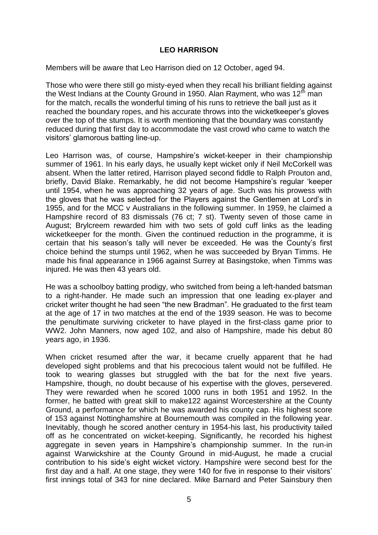## **LEO HARRISON**

Members will be aware that Leo Harrison died on 12 October, aged 94.

Those who were there still go misty-eyed when they recall his brilliant fielding against the West Indians at the County Ground in 1950. Alan Rayment, who was  $12<sup>th</sup>$  man for the match, recalls the wonderful timing of his runs to retrieve the ball just as it reached the boundary ropes, and his accurate throws into the wicketkeeper's gloves over the top of the stumps. It is worth mentioning that the boundary was constantly reduced during that first day to accommodate the vast crowd who came to watch the visitors' glamorous batting line-up.

Leo Harrison was, of course, Hampshire's wicket-keeper in their championship summer of 1961. In his early days, he usually kept wicket only if Neil McCorkell was absent. When the latter retired, Harrison played second fiddle to Ralph Prouton and, briefly, David Blake. Remarkably, he did not become Hampshire's regular 'keeper until 1954, when he was approaching 32 years of age. Such was his prowess with the gloves that he was selected for the Players against the Gentlemen at Lord's in 1955, and for the MCC v Australians in the following summer. In 1959, he claimed a Hampshire record of 83 dismissals (76 ct; 7 st). Twenty seven of those came in August; Brylcreem rewarded him with two sets of gold cuff links as the leading wicketkeeper for the month. Given the continued reduction in the programme, it is certain that his season's tally will never be exceeded. He was the County's first choice behind the stumps until 1962, when he was succeeded by Bryan Timms. He made his final appearance in 1966 against Surrey at Basingstoke, when Timms was injured. He was then 43 years old.

He was a schoolboy batting prodigy, who switched from being a left-handed batsman to a right-hander. He made such an impression that one leading ex-player and cricket writer thought he had seen "the new Bradman". He graduated to the first team at the age of 17 in two matches at the end of the 1939 season. He was to become the penultimate surviving cricketer to have played in the first-class game prior to WW2. John Manners, now aged 102, and also of Hampshire, made his debut 80 years ago, in 1936.

When cricket resumed after the war, it became cruelly apparent that he had developed sight problems and that his precocious talent would not be fulfilled. He took to wearing glasses but struggled with the bat for the next five years. Hampshire, though, no doubt because of his expertise with the gloves, persevered. They were rewarded when he scored 1000 runs in both 1951 and 1952. In the former, he batted with great skill to make122 against Worcestershire at the County Ground, a performance for which he was awarded his county cap. His highest score of 153 against Nottinghamshire at Bournemouth was compiled in the following year. Inevitably, though he scored another century in 1954-his last, his productivity tailed off as he concentrated on wicket-keeping. Significantly, he recorded his highest aggregate in seven years in Hampshire's championship summer. In the run-in against Warwickshire at the County Ground in mid-August, he made a crucial contribution to his side's eight wicket victory. Hampshire were second best for the first day and a half. At one stage, they were 140 for five in response to their visitors' first innings total of 343 for nine declared. Mike Barnard and Peter Sainsbury then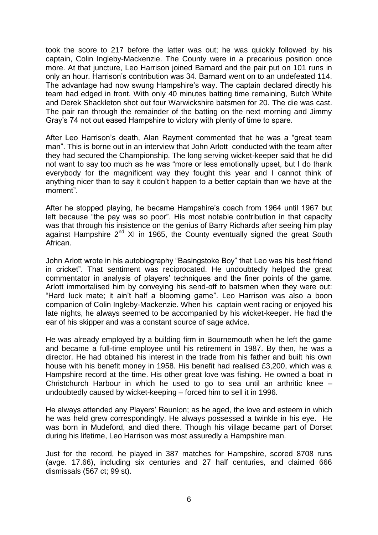took the score to 217 before the latter was out; he was quickly followed by his captain, Colin Ingleby-Mackenzie. The County were in a precarious position once more. At that juncture, Leo Harrison joined Barnard and the pair put on 101 runs in only an hour. Harrison's contribution was 34. Barnard went on to an undefeated 114. The advantage had now swung Hampshire's way. The captain declared directly his team had edged in front. With only 40 minutes batting time remaining, Butch White and Derek Shackleton shot out four Warwickshire batsmen for 20. The die was cast. The pair ran through the remainder of the batting on the next morning and Jimmy Gray's 74 not out eased Hampshire to victory with plenty of time to spare.

After Leo Harrison's death, Alan Rayment commented that he was a "great team man". This is borne out in an interview that John Arlott conducted with the team after they had secured the Championship. The long serving wicket-keeper said that he did not want to say too much as he was "more or less emotionally upset, but I do thank everybody for the magnificent way they fought this year and I cannot think of anything nicer than to say it couldn't happen to a better captain than we have at the moment".

After he stopped playing, he became Hampshire's coach from 1964 until 1967 but left because "the pay was so poor". His most notable contribution in that capacity was that through his insistence on the genius of Barry Richards after seeing him play against Hampshire 2<sup>nd</sup> XI in 1965, the County eventually signed the great South African.

John Arlott wrote in his autobiography "Basingstoke Boy" that Leo was his best friend in cricket". That sentiment was reciprocated. He undoubtedly helped the great commentator in analysis of players' techniques and the finer points of the game. Arlott immortalised him by conveying his send-off to batsmen when they were out: "Hard luck mate; it ain't half a blooming game". Leo Harrison was also a boon companion of Colin Ingleby-Mackenzie. When his captain went racing or enjoyed his late nights, he always seemed to be accompanied by his wicket-keeper. He had the ear of his skipper and was a constant source of sage advice.

He was already employed by a building firm in Bournemouth when he left the game and became a full-time employee until his retirement in 1987. By then, he was a director. He had obtained his interest in the trade from his father and built his own house with his benefit money in 1958. His benefit had realised £3,200, which was a Hampshire record at the time. His other great love was fishing. He owned a boat in Christchurch Harbour in which he used to go to sea until an arthritic knee – undoubtedly caused by wicket-keeping – forced him to sell it in 1996.

He always attended any Players' Reunion; as he aged, the love and esteem in which he was held grew correspondingly. He always possessed a twinkle in his eye. He was born in Mudeford, and died there. Though his village became part of Dorset during his lifetime, Leo Harrison was most assuredly a Hampshire man.

Just for the record, he played in 387 matches for Hampshire, scored 8708 runs (avge. 17.66), including six centuries and 27 half centuries, and claimed 666 dismissals (567 ct; 99 st).